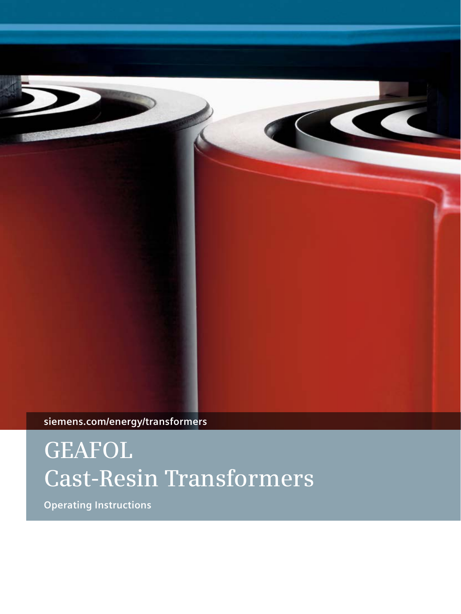

**siemens.com/energy/transformers**

# **GEAFOL Cast-Resin Transformers**

**Operating Instructions**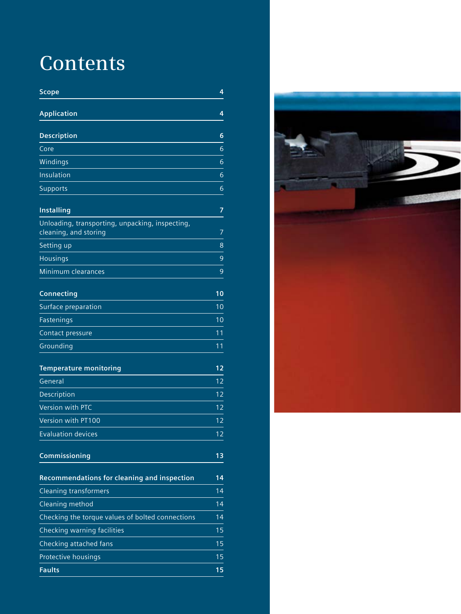### **Contents**

| Scope                                                                    | 4  |
|--------------------------------------------------------------------------|----|
| <b>Application</b>                                                       | 4  |
| <b>Description</b>                                                       | 6  |
| Core                                                                     | 6  |
| Windings                                                                 | 6  |
| <b>Insulation</b>                                                        | 6  |
| <b>Supports</b>                                                          | 6  |
| <b>Installing</b>                                                        | 7  |
| Unloading, transporting, unpacking, inspecting,<br>cleaning, and storing | 7  |
| Setting up                                                               | 8  |
| <b>Housings</b>                                                          | 9  |
| Minimum clearances                                                       | 9  |
| <b>Connecting</b>                                                        | 10 |
| Surface preparation                                                      | 10 |
| Fastenings                                                               | 10 |
| Contact pressure                                                         | 11 |
| Grounding                                                                | 11 |
| <b>Temperature monitoring</b>                                            | 12 |
| General                                                                  | 12 |
| Description                                                              | 12 |
| Version with PTC                                                         | 12 |
| Version with PT100                                                       | 12 |
| <b>Evaluation devices</b>                                                | 12 |
| Commissioning                                                            | 13 |
| <b>Recommendations for cleaning and inspection</b>                       | 14 |
| <b>Cleaning transformers</b>                                             | 14 |
| Cleaning method                                                          | 14 |
| Checking the torque values of bolted connections                         | 14 |
| Checking warning facilities                                              | 15 |
| Checking attached fans                                                   | 15 |
| Protective housings                                                      | 15 |
| <b>Faults</b>                                                            | 15 |

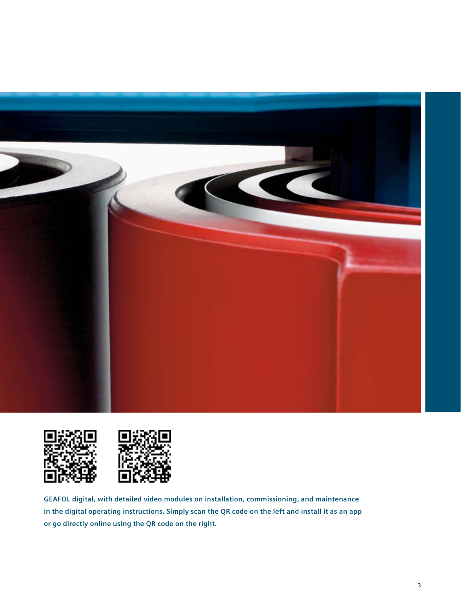





**GEAFOL digital, with detailed video modules on installation, commissioning, and maintenance in the digital operating instructions. Simply scan the QR code on the left and install it as an app or go directly online using the QR code on the right.**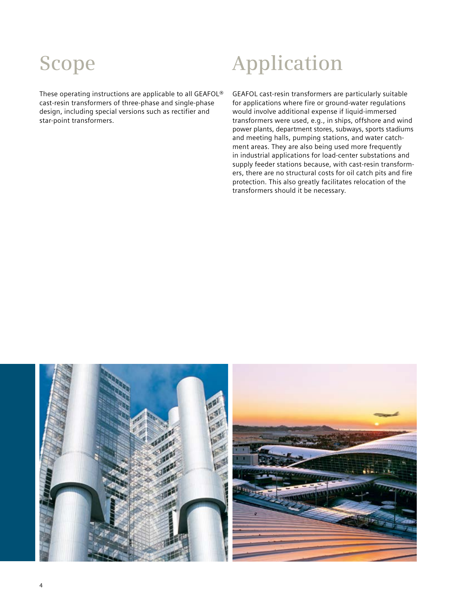These operating instructions are applicable to all GEAFOL® cast-resin transformers of three-phase and single-phase design, including special versions such as rectifier and star-point transformers.

## **Scope Application**

GEAFOL cast-resin transformers are particularly suitable for applications where fire or ground-water regulations would involve additional expense if liquid-immersed transformers were used, e.g., in ships, offshore and wind power plants, department stores, subways, sports stadiums and meeting halls, pumping stations, and water catchment areas. They are also being used more frequently in industrial applications for load-center substations and supply feeder stations because, with cast-resin transformers, there are no structural costs for oil catch pits and fire protection. This also greatly facilitates relocation of the transformers should it be necessary.

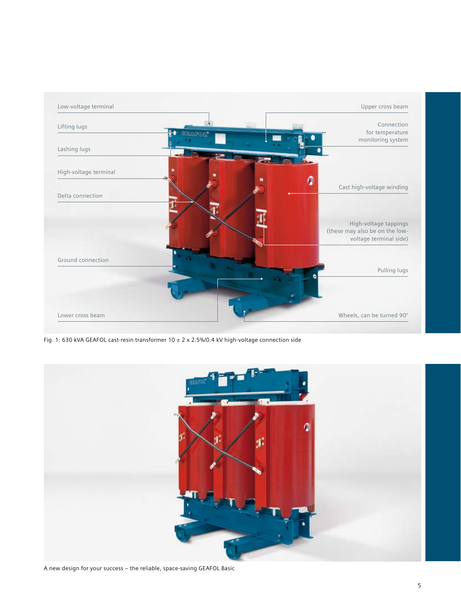

Fig. 1: 630 kVA GEAFOL cast-resin transformer 10 ± 2 x 2.5%/0.4 kV high-voltage connection side



A new design for your success – the reliable, space-saving GEAFOL Basic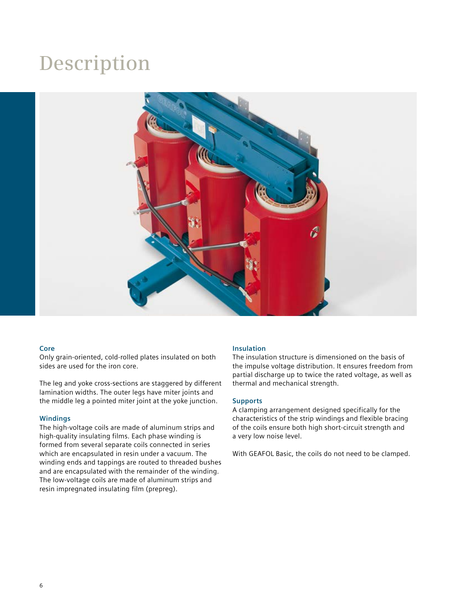### **Description**



### **Core**

Only grain-oriented, cold-rolled plates insulated on both sides are used for the iron core.

The leg and yoke cross-sections are staggered by different lamination widths. The outer legs have miter joints and the middle leg a pointed miter joint at the yoke junction.

### **Windings**

The high-voltage coils are made of aluminum strips and high-quality insulating films. Each phase winding is formed from several separate coils connected in series which are encapsulated in resin under a vacuum. The winding ends and tappings are routed to threaded bushes and are encapsulated with the remainder of the winding. The low-voltage coils are made of aluminum strips and resin impregnated insulating film (prepreg).

### **Insulation**

The insulation structure is dimensioned on the basis of the impulse voltage distribution. It ensures freedom from partial discharge up to twice the rated voltage, as well as thermal and mechanical strength.

### **Supports**

A clamping arrangement designed specifically for the characteristics of the strip windings and flexible bracing of the coils ensure both high short-circuit strength and a very low noise level.

With GEAFOL Basic, the coils do not need to be clamped.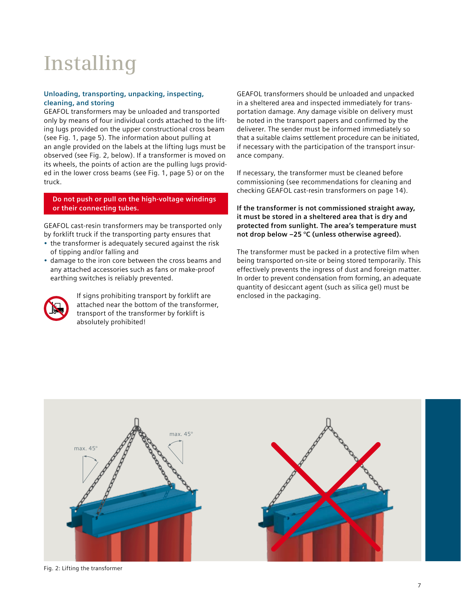# **Installing**

### **Unloading, transporting, unpacking, inspecting, cleaning, and storing**

GEAFOL transformers may be unloaded and transported only by means of four individual cords attached to the lifting lugs provided on the upper constructional cross beam (see Fig. 1, page 5). The information about pulling at an angle provided on the labels at the lifting lugs must be observed (see Fig. 2, below). If a transformer is moved on its wheels, the points of action are the pulling lugs provided in the lower cross beams (see Fig. 1, page 5) or on the truck.

**Do not push or pull on the high-voltage windings or their connecting tubes.**

GEAFOL cast-resin transformers may be transported only by forklift truck if the transporting party ensures that

- the transformer is adequately secured against the risk of tipping and/or falling and
- damage to the iron core between the cross beams and any attached accessories such as fans or make-proof earthing switches is reliably prevented.



If signs prohibiting transport by forklift are attached near the bottom of the transformer, transport of the transformer by forklift is absolutely prohibited!

GEAFOL transformers should be unloaded and unpacked in a sheltered area and inspected immediately for transportation damage. Any damage visible on delivery must be noted in the transport papers and confirmed by the deliverer. The sender must be informed immediately so that a suitable claims settlement procedure can be initiated, if necessary with the participation of the transport insurance company.

If necessary, the transformer must be cleaned before commissioning (see recommendations for cleaning and checking GEAFOL cast-resin transformers on page 14).

**If the transformer is not commissioned straight away, it must be stored in a sheltered area that is dry and protected from sunlight. The area's temperature must not drop below –25 °C (unless otherwise agreed).** 

The transformer must be packed in a protective film when being transported on-site or being stored temporarily. This effectively prevents the ingress of dust and foreign matter. In order to prevent condensation from forming, an adequate quantity of desiccant agent (such as silica gel) must be enclosed in the packaging.



Fig. 2: Lifting the transformer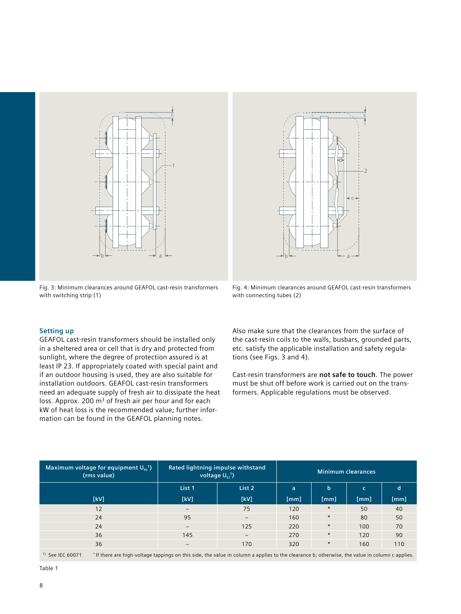

Fig. 3: Minimum clearances around GEAFOL cast-resin transformers with switching strip (1)

### **Setting up**

GEAFOL cast-resin transformers should be installed only in a sheltered area or cell that is dry and protected from sunlight, where the degree of protection assured is at least IP 23. If appropriately coated with special paint and if an outdoor housing is used, they are also suitable for installation outdoors. GEAFOL cast-resin transformers need an adequate supply of fresh air to dissipate the heat loss. Approx. 200 m<sup>3</sup> of fresh air per hour and for each kW of heat loss is the recommended value; further information can be found in the GEAFOL planning notes.

with connecting tubes (2)

Also make sure that the clearances from the surface of the cast-resin coils to the walls, busbars, grounded parts, etc. satisfy the applicable installation and safety regulations (see Figs. 3 and 4).

Cast-resin transformers are **not safe to touch**. The power must be shut off before work is carried out on the transformers. Applicable regulations must be observed.

| Maximum voltage for equipment $U_m$ <sup>1</sup> )<br>(rms value)                                                                                                    | Rated lightning impulse withstand<br>voltage $U_{11}$ <sup>1</sup> ) |                          | <b>Minimum clearances</b> |              |      |      |
|----------------------------------------------------------------------------------------------------------------------------------------------------------------------|----------------------------------------------------------------------|--------------------------|---------------------------|--------------|------|------|
|                                                                                                                                                                      | List 1                                                               | List 2                   | a                         | $\mathsf{b}$ | c.   | d    |
| [kV]                                                                                                                                                                 | [kV]                                                                 | [kV]                     | [mm]                      | [mm]         | [mm] | [mm] |
| 12                                                                                                                                                                   |                                                                      | 75                       | 120                       | $\star$      | 50   | 40   |
| 24                                                                                                                                                                   | 95                                                                   | $\overline{\phantom{m}}$ | 160                       | $\star$      | 80   | 50   |
| 24                                                                                                                                                                   | $\qquad \qquad -$                                                    | 125                      | 220                       | $\star$      | 100  | 70   |
| 36                                                                                                                                                                   | 145                                                                  |                          | 270                       | $\star$      | 120  | 90   |
| 36                                                                                                                                                                   |                                                                      | 170                      | 320                       | $\star$      | 160  | 110  |
| $1)$ See IEC 60071<br>* If there are high-voltage tappings on this side, the value in column a applies to the clearance b; otherwise, the value in column c applies. |                                                                      |                          |                           |              |      |      |

Table 1

Fig. 4: Minimum clearances around GEAFOL cast-resin transformers

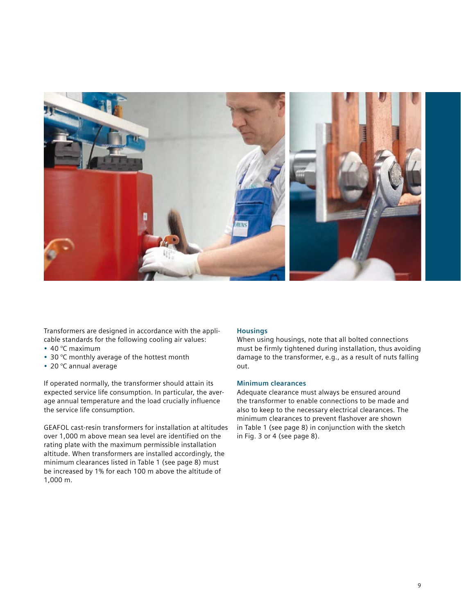

Transformers are designed in accordance with the applicable standards for the following cooling air values:

- $\cdot$  40 °C maximum
- 30 °C monthly average of the hottest month
- • 20 °C annual average

If operated normally, the transformer should attain its expected service life consumption. In particular, the average annual temperature and the load crucially influence the service life consumption.

GEAFOL cast-resin transformers for installation at altitudes over 1,000 m above mean sea level are identified on the rating plate with the maximum permissible installation altitude. When transformers are installed accordingly, the minimum clearances listed in Table 1 (see page 8) must be increased by 1% for each 100 m above the altitude of 1,000 m.

### **Housings**

When using housings, note that all bolted connections must be firmly tightened during installation, thus avoiding damage to the transformer, e.g., as a result of nuts falling out.

### **Minimum clearances**

Adequate clearance must always be ensured around the transformer to enable connections to be made and also to keep to the necessary electrical clearances. The minimum clearances to prevent flashover are shown in Table 1 (see page 8) in conjunction with the sketch in Fig. 3 or 4 (see page 8).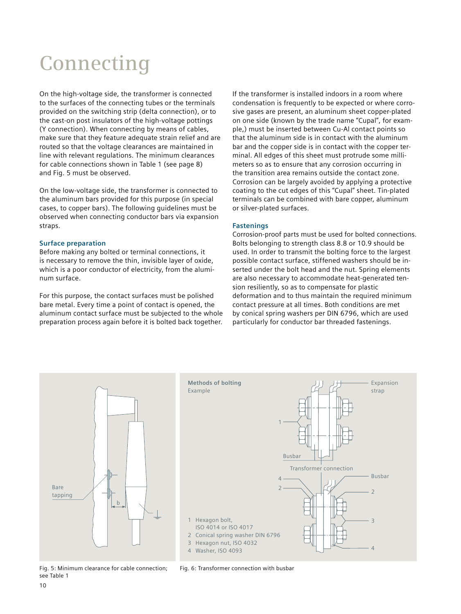# **Connecting**

On the high-voltage side, the transformer is connected to the surfaces of the connecting tubes or the terminals provided on the switching strip (delta connection), or to the cast-on post insulators of the high-voltage pottings (Y connection). When connecting by means of cables, make sure that they feature adequate strain relief and are routed so that the voltage clearances are maintained in line with relevant regulations. The minimum clearances for cable connections shown in Table 1 (see page 8) and Fig. 5 must be observed.

On the low-voltage side, the transformer is connected to the aluminum bars provided for this purpose (in special cases, to copper bars). The following guidelines must be observed when connecting conductor bars via expansion straps.

### **Surface preparation**

Before making any bolted or terminal connections, it is necessary to remove the thin, invisible layer of oxide, which is a poor conductor of electricity, from the aluminum surface.

For this purpose, the contact surfaces must be polished bare metal. Every time a point of contact is opened, the aluminum contact surface must be subjected to the whole preparation process again before it is bolted back together.

If the transformer is installed indoors in a room where condensation is frequently to be expected or where corrosive gases are present, an aluminum sheet copper-plated on one side (known by the trade name "Cupal", for example,) must be inserted between Cu-Al contact points so that the aluminum side is in contact with the aluminum bar and the copper side is in contact with the copper terminal. All edges of this sheet must protrude some millimeters so as to ensure that any corrosion occurring in the transition area remains outside the contact zone. Corrosion can be largely avoided by applying a protective coating to the cut edges of this "Cupal" sheet. Tin-plated terminals can be combined with bare copper, aluminum or silver-plated surfaces.

### **Fastenings**

Corrosion-proof parts must be used for bolted connections. Bolts belonging to strength class 8.8 or 10.9 should be used. In order to transmit the bolting force to the largest possible contact surface, stiffened washers should be inserted under the bolt head and the nut. Spring elements are also necessary to accommodate heat-generated tension resiliently, so as to compensate for plastic deformation and to thus maintain the required minimum contact pressure at all times. Both conditions are met by conical spring washers per DIN 6796, which are used particularly for conductor bar threaded fastenings.



Fig. 5: Minimum clearance for cable connection; see Table 1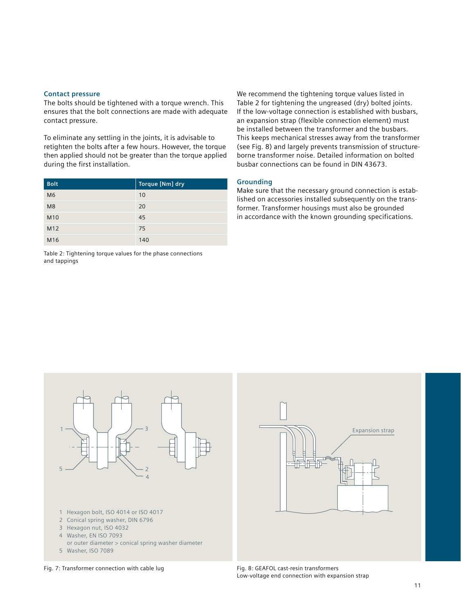#### **Contact pressure**

The bolts should be tightened with a torque wrench. This ensures that the bolt connections are made with adequate contact pressure.

To eliminate any settling in the joints, it is advisable to retighten the bolts after a few hours. However, the torque then applied should not be greater than the torque applied during the first installation.

| <b>Bolt</b>     | Torque [Nm] dry |
|-----------------|-----------------|
| M <sub>6</sub>  | 10              |
| M <sub>8</sub>  | 20              |
| M <sub>10</sub> | 45              |
| M <sub>12</sub> | 75              |
| M <sub>16</sub> | 140             |

Table 2: Tightening torque values for the phase connections and tappings

We recommend the tightening torque values listed in Table 2 for tightening the ungreased (dry) bolted joints. If the low-voltage connection is established with busbars, an expansion strap (flexible connection element) must be installed between the transformer and the busbars. This keeps mechanical stresses away from the transformer (see Fig. 8) and largely prevents transmission of structureborne transformer noise. Detailed information on bolted busbar connections can be found in DIN 43673.

### **Grounding**

Make sure that the necessary ground connection is established on accessories installed subsequently on the transformer. Transformer housings must also be grounded in accordance with the known grounding specifications.



Low-voltage end connection with expansion strap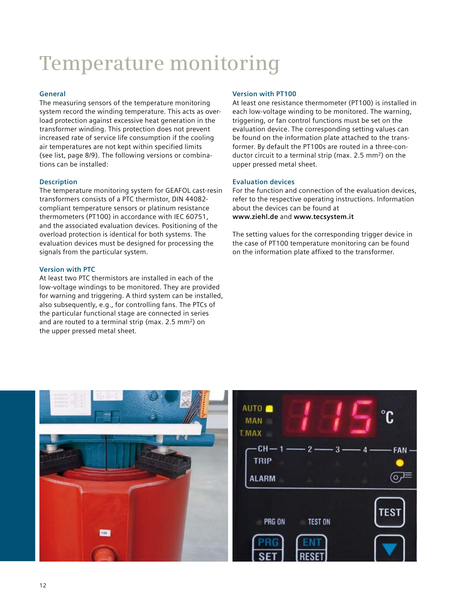# **Temperature monitoring**

### **General**

The measuring sensors of the temperature monitoring system record the winding temperature. This acts as overload protection against excessive heat generation in the transformer winding. This protection does not prevent increased rate of service life consumption if the cooling air temperatures are not kept within specified limits (see list, page 8/9). The following versions or combinations can be installed:

### **Description**

The temperature monitoring system for GEAFOL cast-resin transformers consists of a PTC thermistor, DIN 44082 compliant temperature sensors or platinum resistance thermometers (PT100) in accordance with IEC 60751, and the associated evaluation devices. Positioning of the overload protection is identical for both systems. The evaluation devices must be designed for processing the signals from the particular system.

### **Version with PTC**

At least two PTC thermistors are installed in each of the low-voltage windings to be monitored. They are provided for warning and triggering. A third system can be installed, also subsequently, e.g., for controlling fans. The PTCs of the particular functional stage are connected in series and are routed to a terminal strip (max. 2.5 mm<sup>2</sup>) on the upper pressed metal sheet.

### **Version with PT100**

At least one resistance thermometer (PT100) is installed in each low-voltage winding to be monitored. The warning, triggering, or fan control functions must be set on the evaluation device. The corresponding setting values can be found on the information plate attached to the transformer. By default the PT100s are routed in a three-conductor circuit to a terminal strip (max. 2.5 mm2) on the upper pressed metal sheet.

### **Evaluation devices**

For the function and connection of the evaluation devices, refer to the respective operating instructions. Information about the devices can be found at **www.ziehl.de** and **www.tecsystem.it**

The setting values for the corresponding trigger device in the case of PT100 temperature monitoring can be found on the information plate affixed to the transformer.

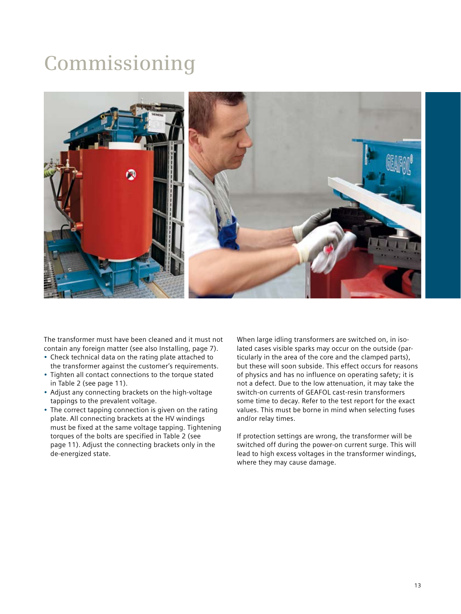### **Commissioning**



The transformer must have been cleaned and it must not contain any foreign matter (see also Installing, page 7).

- • Check technical data on the rating plate attached to the transformer against the customer's requirements.
- Tighten all contact connections to the torque stated in Table 2 (see page 11).
- Adjust any connecting brackets on the high-voltage tappings to the prevalent voltage.
- The correct tapping connection is given on the rating plate. All connecting brackets at the HV windings must be fixed at the same voltage tapping. Tightening torques of the bolts are specified in Table 2 (see page 11). Adjust the connecting brackets only in the de-energized state.

When large idling transformers are switched on, in isolated cases visible sparks may occur on the outside (particularly in the area of the core and the clamped parts), but these will soon subside. This effect occurs for reasons of physics and has no influence on operating safety; it is not a defect. Due to the low attenuation, it may take the switch-on currents of GEAFOL cast-resin transformers some time to decay. Refer to the test report for the exact values. This must be borne in mind when selecting fuses and/or relay times.

If protection settings are wrong, the transformer will be switched off during the power-on current surge. This will lead to high excess voltages in the transformer windings, where they may cause damage.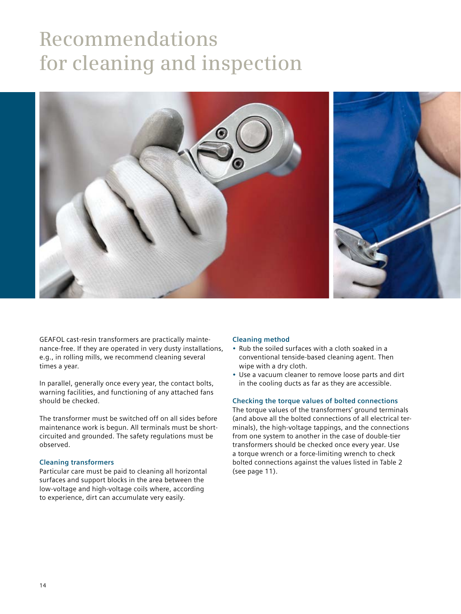### **Recommendations for cleaning and inspection**



GEAFOL cast-resin transformers are practically maintenance-free. If they are operated in very dusty installations, e.g., in rolling mills, we recommend cleaning several times a year.

In parallel, generally once every year, the contact bolts, warning facilities, and functioning of any attached fans should be checked.

The transformer must be switched off on all sides before maintenance work is begun. All terminals must be shortcircuited and grounded. The safety regulations must be observed.

### **Cleaning transformers**

Particular care must be paid to cleaning all horizontal surfaces and support blocks in the area between the low-voltage and high-voltage coils where, according to experience, dirt can accumulate very easily.

#### **Cleaning method**

- Rub the soiled surfaces with a cloth soaked in a conventional tenside-based cleaning agent. Then wipe with a dry cloth.
- Use a vacuum cleaner to remove loose parts and dirt in the cooling ducts as far as they are accessible.

### **Checking the torque values of bolted connections**

The torque values of the transformers' ground terminals (and above all the bolted connections of all electrical terminals), the high-voltage tappings, and the connections from one system to another in the case of double-tier transformers should be checked once every year. Use a torque wrench or a force-limiting wrench to check bolted connections against the values listed in Table 2 (see page 11).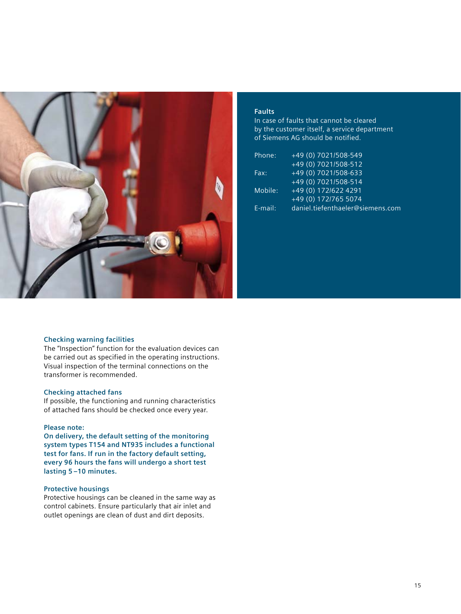

### **Faults**

In case of faults that cannot be cleared by the customer itself, a service department of Siemens AG should be notified.

| Phone:     | +49 (0) 7021/508-549             |
|------------|----------------------------------|
|            | +49 (0) 7021/508-512             |
| Fax:       | +49 (0) 7021/508-633             |
|            | +49 (0) 7021/508-514             |
| Mobile:    | +49 (0) 172/622 4291             |
|            | +49 (0) 172/765 5074             |
| $E$ -mail: | daniel.tiefenthaeler@siemens.com |

### **Checking warning facilities**

The "Inspection" function for the evaluation devices can be carried out as specified in the operating instructions. Visual inspection of the terminal connections on the transformer is recommended.

### **Checking attached fans**

If possible, the functioning and running characteristics of attached fans should be checked once every year.

#### **Please note:**

**On delivery, the default setting of the monitoring system types T154 and NT935 includes a functional test for fans. If run in the factory default setting, every 96 hours the fans will undergo a short test lasting 5 –10 minutes.**

#### **Protective housings**

Protective housings can be cleaned in the same way as control cabinets. Ensure particularly that air inlet and outlet openings are clean of dust and dirt deposits.